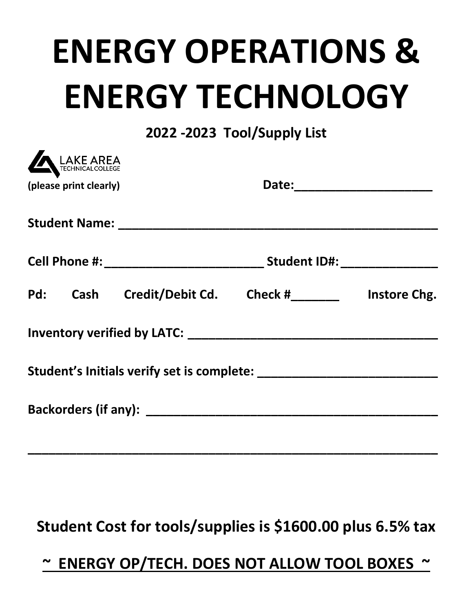# **ENERGY OPERATIONS & ENERGY TECHNOLOGY**

## **2022 -2023 Tool/Supply List**

| LAKE AREA              |                                          |  |              |  |
|------------------------|------------------------------------------|--|--------------|--|
| (please print clearly) |                                          |  |              |  |
|                        |                                          |  |              |  |
|                        |                                          |  |              |  |
|                        | Pd: Cash Credit/Debit Cd. Check #_______ |  | Instore Chg. |  |
|                        |                                          |  |              |  |
|                        |                                          |  |              |  |
|                        |                                          |  |              |  |
|                        |                                          |  |              |  |

# **Student Cost for tools/supplies is \$1600.00 plus 6.5% tax**

**\_\_\_\_\_\_\_\_\_\_\_\_\_\_\_\_\_\_\_\_\_\_\_\_\_\_\_\_\_\_\_\_\_\_\_\_\_\_\_\_\_\_\_\_\_\_\_\_\_\_\_\_\_\_\_\_\_\_\_**

# **~ ENERGY OP/TECH. DOES NOT ALLOW TOOL BOXES ~**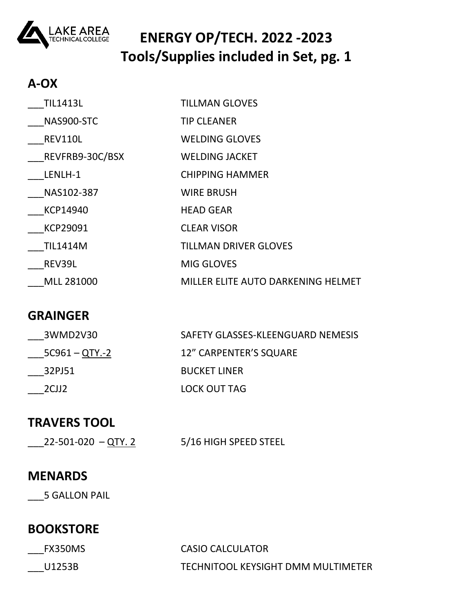

## **ENERGY OP/TECH. 2022 -2023 Tools/Supplies included in Set, pg. 1**

## **A-OX**

| <b>TIL1413L</b>   | <b>TILLMAN GLOVES</b>              |
|-------------------|------------------------------------|
| NAS900-STC        | <b>TIP CLEANER</b>                 |
| REV110L           | <b>WELDING GLOVES</b>              |
| REVFRB9-30C/BSX   | <b>WELDING JACKET</b>              |
| LENLH-1           | <b>CHIPPING HAMMER</b>             |
| NAS102-387        | <b>WIRE BRUSH</b>                  |
| KCP14940          | <b>HEAD GEAR</b>                   |
| <b>KCP29091</b>   | <b>CLEAR VISOR</b>                 |
| <b>TIL1414M</b>   | <b>TILLMAN DRIVER GLOVES</b>       |
| REV39L            | <b>MIG GLOVES</b>                  |
| <b>MLL 281000</b> | MILLER ELITE AUTO DARKENING HELMET |

## **GRAINGER**

| 3WMD2V30         | SAFETY GLASSES-KLEENGUARD NEMESIS |
|------------------|-----------------------------------|
| $5C961 - QTY.-2$ | <b>12" CARPENTER'S SQUARE</b>     |
| 32PJ51           | <b>BUCKET LINER</b>               |
| 2CJ12            | LOCK OUT TAG                      |

## **TRAVERS TOOL**

 $\_$ 22-501-020 –  $\overline{QTY}$ . 2 5/16 HIGH SPEED STEEL

#### **MENARDS**

\_\_5 GALLON PAIL

## **BOOKSTORE**

| FX350MS | CASIO CALCULATOR                   |
|---------|------------------------------------|
| U1253B  | TECHNITOOL KEYSIGHT DMM MULTIMETER |